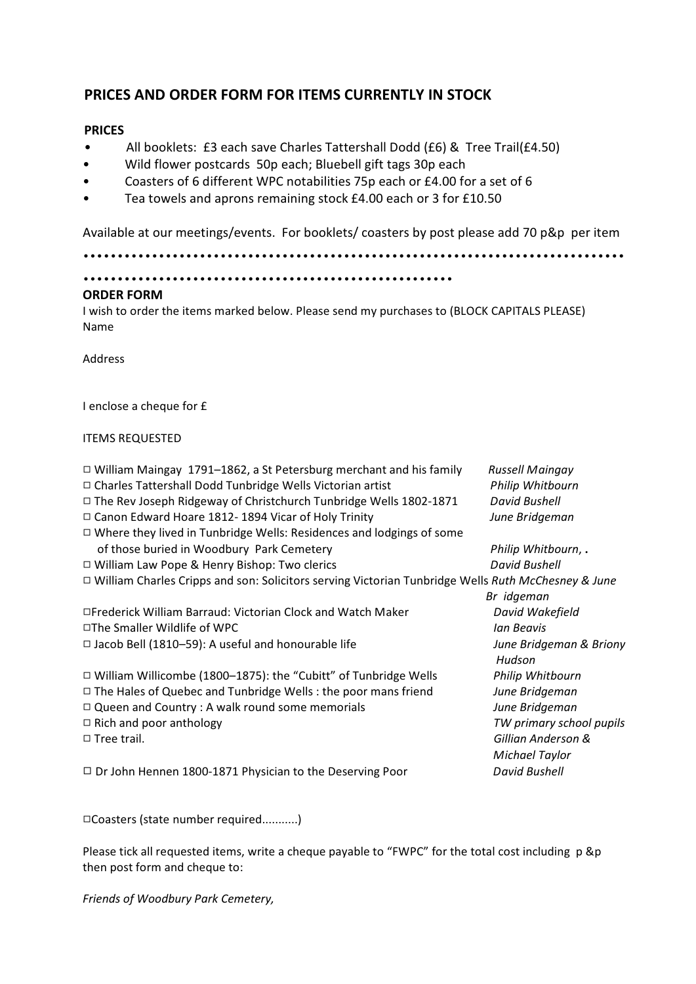## **PRICES AND ORDER FORM FOR ITEMS CURRENTLY IN STOCK**

## **PRICES**

- All booklets: £3 each save Charles Tattershall Dodd (£6) & Tree Trail(£4.50)
- Wild flower postcards 50p each; Bluebell gift tags 30p each
- Coasters of 6 different WPC notabilities 75p each or £4.00 for a set of 6
- Tea towels and aprons remaining stock £4.00 each or 3 for £10.50

Available at our meetings/events. For booklets/ coasters by post please add 70 p&p per item

...............................................................................

```
......................................................
```
## **ORDER FORM**

I wish to order the items marked below. Please send my purchases to (BLOCK CAPITALS PLEASE) Name

Address

I enclose a cheque for £

## ITEMS REQUESTED

| $\Box$ William Maingay 1791–1862, a St Petersburg merchant and his family                                 | <b>Russell Maingay</b>   |
|-----------------------------------------------------------------------------------------------------------|--------------------------|
| □ Charles Tattershall Dodd Tunbridge Wells Victorian artist                                               | Philip Whitbourn         |
| $\Box$ The Rev Joseph Ridgeway of Christchurch Tunbridge Wells 1802-1871                                  | <b>David Bushell</b>     |
| $\Box$ Canon Edward Hoare 1812-1894 Vicar of Holy Trinity                                                 | June Bridgeman           |
| $\Box$ Where they lived in Tunbridge Wells: Residences and lodgings of some                               |                          |
| of those buried in Woodbury Park Cemetery                                                                 | Philip Whitbourn, .      |
| $\Box$ William Law Pope & Henry Bishop: Two clerics                                                       | David Bushell            |
| $\Box$ William Charles Cripps and son: Solicitors serving Victorian Tunbridge Wells Ruth McChesney & June |                          |
|                                                                                                           | Br idgeman               |
| □Frederick William Barraud: Victorian Clock and Watch Maker                                               | David Wakefield          |
| $\Box$ The Smaller Wildlife of WPC                                                                        | Ian Beavis               |
| $\Box$ Jacob Bell (1810–59): A useful and honourable life                                                 | June Bridgeman & Briony  |
|                                                                                                           | Hudson                   |
| $\Box$ William Willicombe (1800–1875): the "Cubitt" of Tunbridge Wells                                    | Philip Whitbourn         |
| $\Box$ The Hales of Quebec and Tunbridge Wells : the poor mans friend                                     | June Bridgeman           |
| $\Box$ Queen and Country : A walk round some memorials                                                    | June Bridgeman           |
| $\Box$ Rich and poor anthology                                                                            | TW primary school pupils |
| $\Box$ Tree trail.                                                                                        | Gillian Anderson &       |
|                                                                                                           | Michael Taylor           |
| $\Box$ Dr John Hennen 1800-1871 Physician to the Deserving Poor                                           | <b>David Bushell</b>     |

9Coasters (state number required...........)

Please tick all requested items, write a cheque payable to "FWPC" for the total cost including p &p then post form and cheque to:

*Friends of Woodbury Park Cemetery,*